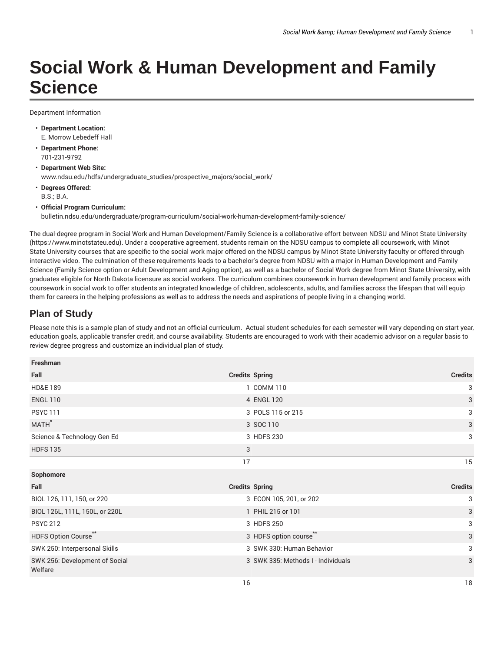## **Social Work & Human Development and Family Science**

Department Information

- **Department Location:** E. Morrow Lebedeff Hall
- **Department Phone:** 701-231-9792
- **Department Web Site:** www.ndsu.edu/hdfs/undergraduate\_studies/prospective\_majors/social\_work/
- **Degrees Offered:** B.S.; B.A.
- **Official Program Curriculum:** bulletin.ndsu.edu/undergraduate/program-curriculum/social-work-human-development-family-science/

The dual-degree program in Social Work and Human Development/Family Science is a collaborative effort between NDSU and Minot State University (https://www.minotstateu.edu). Under a cooperative agreement, students remain on the NDSU campus to complete all coursework, with Minot State University courses that are specific to the social work major offered on the NDSU campus by Minot State University faculty or offered through interactive video. The culmination of these requirements leads to a bachelor's degree from NDSU with a major in Human Development and Family Science (Family Science option or Adult Development and Aging option), as well as a bachelor of Social Work degree from Minot State University, with graduates eligible for North Dakota licensure as social workers. The curriculum combines coursework in human development and family process with coursework in social work to offer students an integrated knowledge of children, adolescents, adults, and families across the lifespan that will equip them for careers in the helping professions as well as to address the needs and aspirations of people living in a changing world.

## **Plan of Study**

Please note this is a sample plan of study and not an official curriculum. Actual student schedules for each semester will vary depending on start year, education goals, applicable transfer credit, and course availability. Students are encouraged to work with their academic advisor on a regular basis to review degree progress and customize an individual plan of study.

| Freshman                                  |                                    |                |
|-------------------------------------------|------------------------------------|----------------|
| Fall                                      | <b>Credits Spring</b>              | <b>Credits</b> |
| <b>HD&amp;E 189</b>                       | 1 COMM 110                         | 3              |
| <b>ENGL 110</b>                           | 4 ENGL 120                         | 3              |
| <b>PSYC 111</b>                           | 3 POLS 115 or 215                  | 3              |
| MATH <sup>*</sup>                         | 3 SOC 110                          | 3              |
| Science & Technology Gen Ed               | 3 HDFS 230                         | 3              |
| <b>HDFS 135</b>                           | 3                                  |                |
|                                           | 17                                 | 15             |
| Sophomore                                 |                                    |                |
| Fall                                      | <b>Credits Spring</b>              | <b>Credits</b> |
| BIOL 126, 111, 150, or 220                | 3 ECON 105, 201, or 202            | 3              |
| BIOL 126L, 111L, 150L, or 220L            | 1 PHIL 215 or 101                  | 3              |
| <b>PSYC 212</b>                           | 3 HDFS 250                         | 3              |
| HDFS Option Course                        | 3 HDFS option course               | 3              |
| SWK 250: Interpersonal Skills             | 3 SWK 330: Human Behavior          | 3              |
| SWK 256: Development of Social<br>Welfare | 3 SWK 335: Methods I - Individuals | 3              |